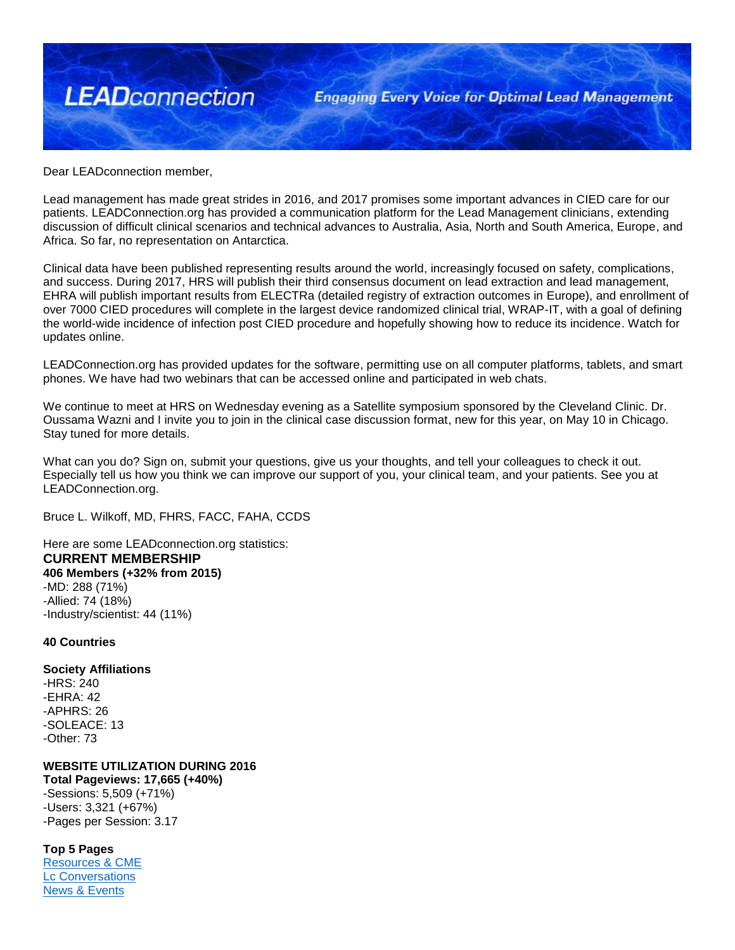

Dear LEADconnection member,

Lead management has made great strides in 2016, and 2017 promises some important advances in CIED care for our patients. LEADConnection.org has provided a communication platform for the Lead Management clinicians, extending discussion of difficult clinical scenarios and technical advances to Australia, Asia, North and South America, Europe, and Africa. So far, no representation on Antarctica.

Clinical data have been published representing results around the world, increasingly focused on safety, complications, and success. During 2017, HRS will publish their third consensus document on lead extraction and lead management, EHRA will publish important results from ELECTRa (detailed registry of extraction outcomes in Europe), and enrollment of over 7000 CIED procedures will complete in the largest device randomized clinical trial, WRAP-IT, with a goal of defining the world-wide incidence of infection post CIED procedure and hopefully showing how to reduce its incidence. Watch for updates online.

LEADConnection.org has provided updates for the software, permitting use on all computer platforms, tablets, and smart phones. We have had two webinars that can be accessed online and participated in web chats.

We continue to meet at HRS on Wednesday evening as a Satellite symposium sponsored by the Cleveland Clinic. Dr. Oussama Wazni and I invite you to join in the clinical case discussion format, new for this year, on May 10 in Chicago. Stay tuned for more details.

What can you do? Sign on, submit your questions, give us your thoughts, and tell your colleagues to check it out. Especially tell us how you think we can improve our support of you, your clinical team, and your patients. See you at LEADConnection.org.

Bruce L. Wilkoff, MD, FHRS, FACC, FAHA, CCDS

Here are some LEADconnection.org statistics: **CURRENT MEMBERSHIP 406 Members (+32% from 2015)** -MD: 288 (71%) -Allied: 74 (18%) -Industry/scientist: 44 (11%)

## **40 Countries**

**Society Affiliations** -HRS: 240 -EHRA: 42 -APHRS: 26 -SOLEACE: 13 -Other: 73

**WEBSITE UTILIZATION DURING 2016 Total Pageviews: 17,665 (+40%)** -Sessions: 5,509 (+71%)

-Users: 3,321 (+67%) -Pages per Session: 3.17

**Top 5 Pages** 

[Resources & CME](http://www.leadconnection.org/lead_connection_library) [Lc Conversations](http://www.leadconnection.org/forum) [News & Events](http://www.leadconnection.org/lead_connection_happenings)